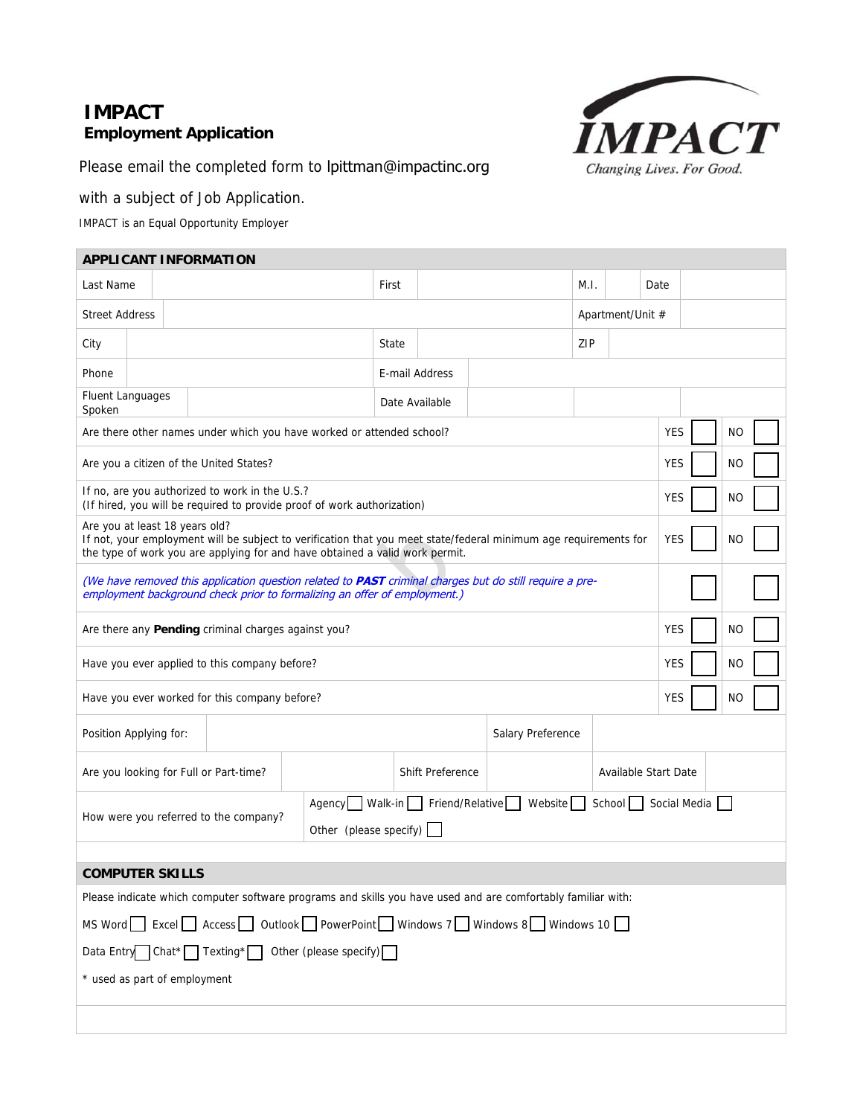### **IMPACT Employment Application**



Please email the completed form to lpittman@impactinc.org

### with a subject of Job Application.

IMPACT is an Equal Opportunity Employer

r.

| <b>APPLICANT INFORMATION</b>                                                                                                                                                                |                                                                                                                                                                                                                                                        |                                                |                                                                         |       |  |  |     |      |  |            |    |  |
|---------------------------------------------------------------------------------------------------------------------------------------------------------------------------------------------|--------------------------------------------------------------------------------------------------------------------------------------------------------------------------------------------------------------------------------------------------------|------------------------------------------------|-------------------------------------------------------------------------|-------|--|--|-----|------|--|------------|----|--|
| Last Name                                                                                                                                                                                   |                                                                                                                                                                                                                                                        |                                                |                                                                         | First |  |  |     | M.I. |  | Date       |    |  |
|                                                                                                                                                                                             | <b>Street Address</b><br>Apartment/Unit #                                                                                                                                                                                                              |                                                |                                                                         |       |  |  |     |      |  |            |    |  |
| City<br>State                                                                                                                                                                               |                                                                                                                                                                                                                                                        |                                                |                                                                         |       |  |  | ZIP |      |  |            |    |  |
| E-mail Address<br>Phone                                                                                                                                                                     |                                                                                                                                                                                                                                                        |                                                |                                                                         |       |  |  |     |      |  |            |    |  |
| <b>Fluent Languages</b><br>Date Available<br>Spoken                                                                                                                                         |                                                                                                                                                                                                                                                        |                                                |                                                                         |       |  |  |     |      |  |            |    |  |
| <b>YES</b><br>Are there other names under which you have worked or attended school?<br>NO                                                                                                   |                                                                                                                                                                                                                                                        |                                                |                                                                         |       |  |  |     |      |  |            |    |  |
|                                                                                                                                                                                             |                                                                                                                                                                                                                                                        | Are you a citizen of the United States?        |                                                                         |       |  |  |     |      |  | <b>YES</b> | NO |  |
|                                                                                                                                                                                             |                                                                                                                                                                                                                                                        | If no, are you authorized to work in the U.S.? | (If hired, you will be required to provide proof of work authorization) |       |  |  |     |      |  | <b>YES</b> | NO |  |
|                                                                                                                                                                                             | Are you at least 18 years old?<br>If not, your employment will be subject to verification that you meet state/federal minimum age requirements for<br><b>YES</b><br>NO<br>the type of work you are applying for and have obtained a valid work permit. |                                                |                                                                         |       |  |  |     |      |  |            |    |  |
| (We have removed this application question related to <b>PAST</b> criminal charges but do still require a pre-<br>employment background check prior to formalizing an offer of employment.) |                                                                                                                                                                                                                                                        |                                                |                                                                         |       |  |  |     |      |  |            |    |  |
|                                                                                                                                                                                             | Are there any Pending criminal charges against you?<br><b>YES</b><br>NO                                                                                                                                                                                |                                                |                                                                         |       |  |  |     |      |  |            |    |  |
|                                                                                                                                                                                             | YES<br>Have you ever applied to this company before?<br>NO                                                                                                                                                                                             |                                                |                                                                         |       |  |  |     |      |  |            |    |  |
|                                                                                                                                                                                             |                                                                                                                                                                                                                                                        | Have you ever worked for this company before?  |                                                                         |       |  |  |     |      |  | <b>YES</b> | NO |  |
| Position Applying for:<br>Salary Preference                                                                                                                                                 |                                                                                                                                                                                                                                                        |                                                |                                                                         |       |  |  |     |      |  |            |    |  |
|                                                                                                                                                                                             | Available Start Date<br>Are you looking for Full or Part-time?<br><b>Shift Preference</b>                                                                                                                                                              |                                                |                                                                         |       |  |  |     |      |  |            |    |  |
|                                                                                                                                                                                             | Walk-in<br>Friend/Relative<br>Website<br>School   Social Media<br>Agency<br>How were you referred to the company?<br>Other (please specify)                                                                                                            |                                                |                                                                         |       |  |  |     |      |  |            |    |  |
|                                                                                                                                                                                             |                                                                                                                                                                                                                                                        |                                                |                                                                         |       |  |  |     |      |  |            |    |  |
| <b>COMPUTER SKILLS</b>                                                                                                                                                                      |                                                                                                                                                                                                                                                        |                                                |                                                                         |       |  |  |     |      |  |            |    |  |
| Please indicate which computer software programs and skills you have used and are comfortably familiar with:                                                                                |                                                                                                                                                                                                                                                        |                                                |                                                                         |       |  |  |     |      |  |            |    |  |
| MS Word Excel Access Outlook PowerPoint Windows 7 Windows 8 Windows 10                                                                                                                      |                                                                                                                                                                                                                                                        |                                                |                                                                         |       |  |  |     |      |  |            |    |  |
| Data Entry $Chat^*$ Texting <sup>*</sup> Other (please specify) $\Box$                                                                                                                      |                                                                                                                                                                                                                                                        |                                                |                                                                         |       |  |  |     |      |  |            |    |  |
|                                                                                                                                                                                             | * used as part of employment                                                                                                                                                                                                                           |                                                |                                                                         |       |  |  |     |      |  |            |    |  |
|                                                                                                                                                                                             |                                                                                                                                                                                                                                                        |                                                |                                                                         |       |  |  |     |      |  |            |    |  |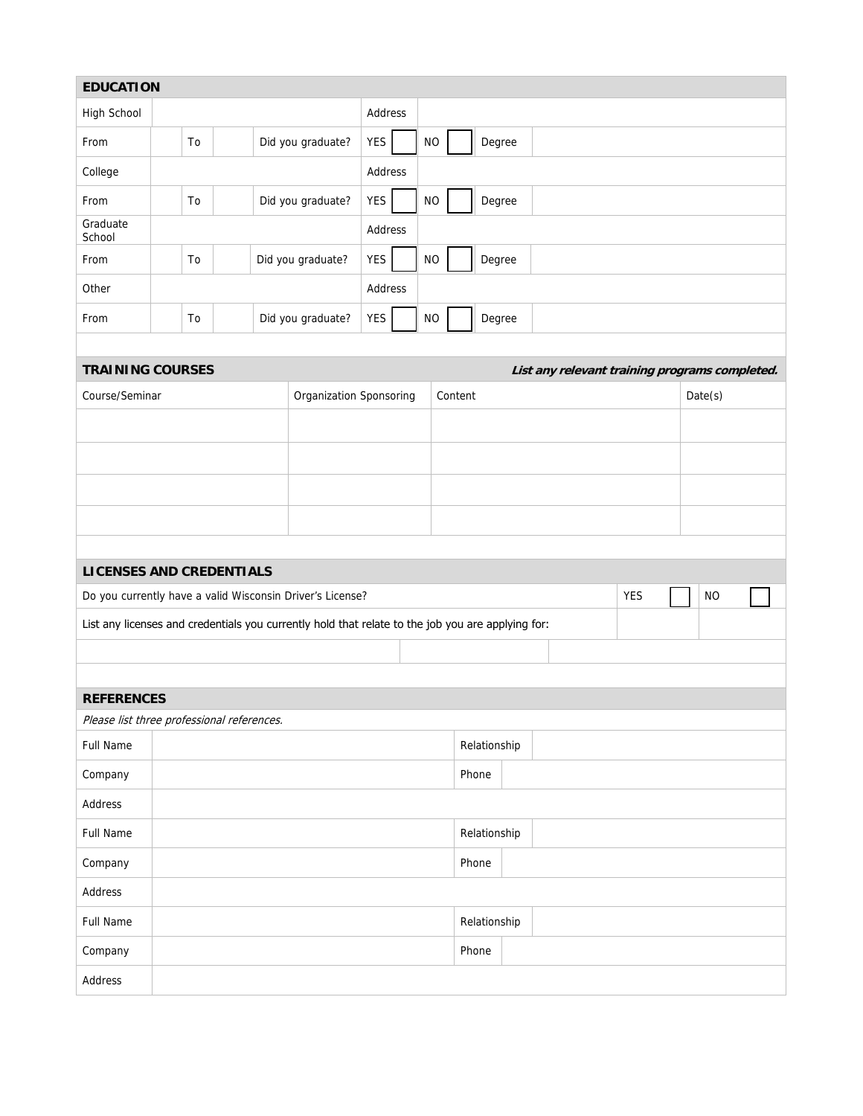| <b>EDUCATION</b>                           |                         |    |                   |                         |                                                                                                   |              |  |           |              |        |  |  |  |            |  |                                                |  |  |
|--------------------------------------------|-------------------------|----|-------------------|-------------------------|---------------------------------------------------------------------------------------------------|--------------|--|-----------|--------------|--------|--|--|--|------------|--|------------------------------------------------|--|--|
| High School                                |                         |    |                   |                         |                                                                                                   | Address      |  |           |              |        |  |  |  |            |  |                                                |  |  |
| From                                       | Did you graduate?<br>To |    |                   | <b>YES</b>              |                                                                                                   | <b>NO</b>    |  | Degree    |              |        |  |  |  |            |  |                                                |  |  |
| College                                    |                         |    |                   | Address                 |                                                                                                   |              |  |           |              |        |  |  |  |            |  |                                                |  |  |
| From<br>To                                 |                         |    | Did you graduate? | <b>YES</b><br><b>NO</b> |                                                                                                   |              |  | Degree    |              |        |  |  |  |            |  |                                                |  |  |
| Graduate<br>School                         |                         |    |                   | Address                 |                                                                                                   |              |  |           |              |        |  |  |  |            |  |                                                |  |  |
| From                                       | To<br>Did you graduate? |    |                   | <b>YES</b>              | $NO$<br>Degree                                                                                    |              |  |           |              |        |  |  |  |            |  |                                                |  |  |
| Other                                      |                         |    |                   |                         |                                                                                                   | Address      |  |           |              |        |  |  |  |            |  |                                                |  |  |
| From                                       |                         | To |                   |                         | Did you graduate?                                                                                 | <b>YES</b>   |  | <b>NO</b> |              | Degree |  |  |  |            |  |                                                |  |  |
|                                            |                         |    |                   |                         |                                                                                                   |              |  |           |              |        |  |  |  |            |  |                                                |  |  |
| <b>TRAINING COURSES</b>                    |                         |    |                   |                         |                                                                                                   |              |  |           |              |        |  |  |  |            |  | List any relevant training programs completed. |  |  |
| Course/Seminar                             |                         |    |                   |                         | Organization Sponsoring                                                                           |              |  |           | Content      |        |  |  |  |            |  | Date(s)                                        |  |  |
|                                            |                         |    |                   |                         |                                                                                                   |              |  |           |              |        |  |  |  |            |  |                                                |  |  |
|                                            |                         |    |                   |                         |                                                                                                   |              |  |           |              |        |  |  |  |            |  |                                                |  |  |
|                                            |                         |    |                   |                         |                                                                                                   |              |  |           |              |        |  |  |  |            |  |                                                |  |  |
|                                            |                         |    |                   |                         |                                                                                                   |              |  |           |              |        |  |  |  |            |  |                                                |  |  |
|                                            |                         |    |                   |                         |                                                                                                   |              |  |           |              |        |  |  |  |            |  |                                                |  |  |
| <b>LICENSES AND CREDENTIALS</b>            |                         |    |                   |                         |                                                                                                   |              |  |           |              |        |  |  |  |            |  |                                                |  |  |
|                                            |                         |    |                   |                         | Do you currently have a valid Wisconsin Driver's License?                                         |              |  |           |              |        |  |  |  | <b>YES</b> |  | <b>NO</b>                                      |  |  |
|                                            |                         |    |                   |                         | List any licenses and credentials you currently hold that relate to the job you are applying for: |              |  |           |              |        |  |  |  |            |  |                                                |  |  |
|                                            |                         |    |                   |                         |                                                                                                   |              |  |           |              |        |  |  |  |            |  |                                                |  |  |
|                                            |                         |    |                   |                         |                                                                                                   |              |  |           |              |        |  |  |  |            |  |                                                |  |  |
| <b>REFERENCES</b>                          |                         |    |                   |                         |                                                                                                   |              |  |           |              |        |  |  |  |            |  |                                                |  |  |
| Please list three professional references. |                         |    |                   |                         |                                                                                                   |              |  |           |              |        |  |  |  |            |  |                                                |  |  |
| Full Name                                  |                         |    |                   |                         |                                                                                                   | Relationship |  |           |              |        |  |  |  |            |  |                                                |  |  |
| Company                                    |                         |    |                   |                         |                                                                                                   | Phone        |  |           |              |        |  |  |  |            |  |                                                |  |  |
| Address                                    |                         |    |                   |                         |                                                                                                   |              |  |           |              |        |  |  |  |            |  |                                                |  |  |
| <b>Full Name</b>                           |                         |    |                   |                         |                                                                                                   |              |  |           | Relationship |        |  |  |  |            |  |                                                |  |  |
| Company                                    |                         |    |                   |                         |                                                                                                   |              |  |           | Phone        |        |  |  |  |            |  |                                                |  |  |
| Address                                    |                         |    |                   |                         |                                                                                                   |              |  |           |              |        |  |  |  |            |  |                                                |  |  |
| <b>Full Name</b>                           |                         |    |                   |                         |                                                                                                   |              |  |           | Relationship |        |  |  |  |            |  |                                                |  |  |
| Company                                    |                         |    |                   |                         |                                                                                                   |              |  |           | Phone        |        |  |  |  |            |  |                                                |  |  |

Address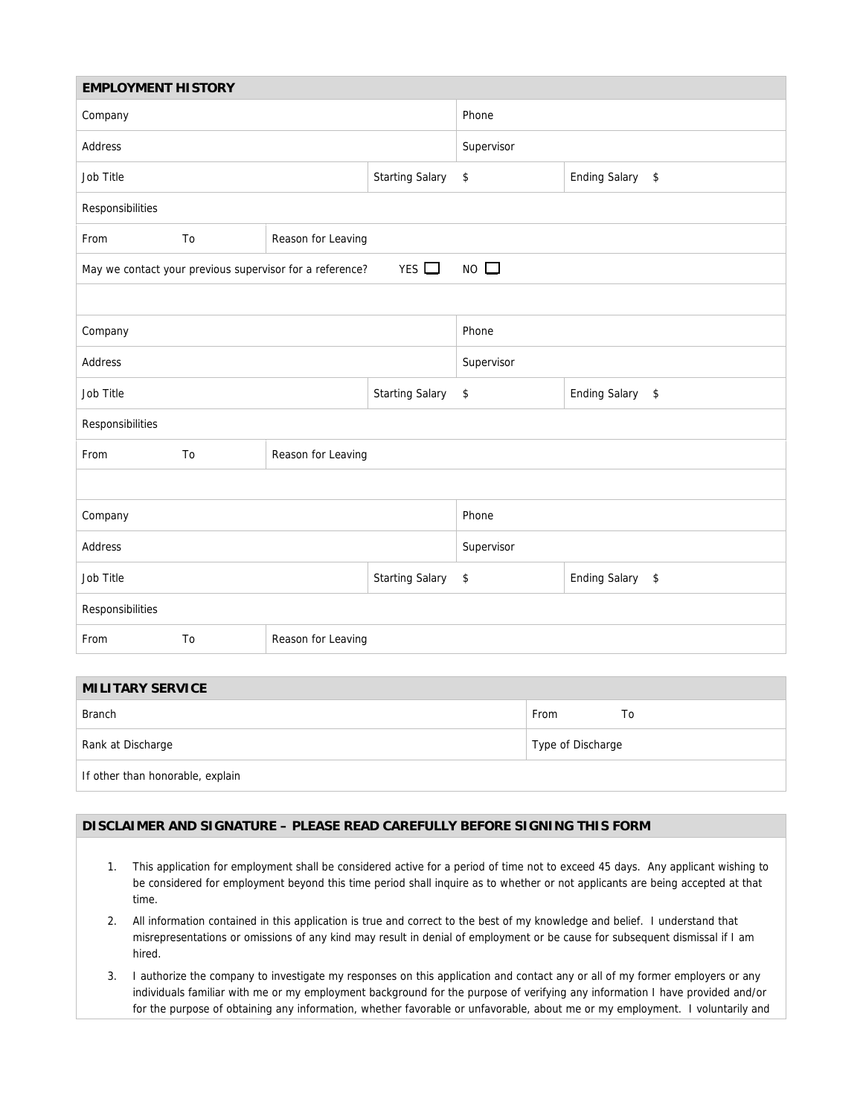| <b>EMPLOYMENT HISTORY</b> |    |                                                          |                        |                                  |  |  |  |  |  |
|---------------------------|----|----------------------------------------------------------|------------------------|----------------------------------|--|--|--|--|--|
| Company                   |    |                                                          | Phone                  |                                  |  |  |  |  |  |
| Address                   |    |                                                          | Supervisor             |                                  |  |  |  |  |  |
| Job Title                 |    |                                                          | \$                     | Ending Salary \$                 |  |  |  |  |  |
| Responsibilities          |    |                                                          |                        |                                  |  |  |  |  |  |
| From                      | To | Reason for Leaving                                       |                        |                                  |  |  |  |  |  |
|                           |    | May we contact your previous supervisor for a reference? | $NO$ $\Box$            |                                  |  |  |  |  |  |
|                           |    |                                                          |                        |                                  |  |  |  |  |  |
| Company                   |    |                                                          |                        | Phone                            |  |  |  |  |  |
| Address                   |    |                                                          |                        | Supervisor                       |  |  |  |  |  |
| Job Title                 |    |                                                          | <b>Starting Salary</b> | <b>Ending Salary</b><br>\$<br>\$ |  |  |  |  |  |
| Responsibilities          |    |                                                          |                        |                                  |  |  |  |  |  |
| From                      | To | Reason for Leaving                                       |                        |                                  |  |  |  |  |  |
|                           |    |                                                          |                        |                                  |  |  |  |  |  |
| Company                   |    |                                                          | Phone                  |                                  |  |  |  |  |  |
| Address                   |    |                                                          | Supervisor             |                                  |  |  |  |  |  |
| Job Title                 |    |                                                          | <b>Starting Salary</b> | Ending Salary \$<br>\$           |  |  |  |  |  |
| Responsibilities          |    |                                                          |                        |                                  |  |  |  |  |  |
| From                      | To | Reason for Leaving                                       |                        |                                  |  |  |  |  |  |

## **MILITARY SERVICE**  Branch To **From** To a state of the state of the state of the state of the state of the state of the state of the state of the state of the state of the state of the state of the state of the state of the state of the state Rank at Discharge Type of Discharge Type of Discharge Type of Discharge Type of Discharge If other than honorable, explain

#### **DISCLAIMER AND SIGNATURE – PLEASE READ CAREFULLY BEFORE SIGNING THIS FORM**

- 1. This application for employment shall be considered active for a period of time not to exceed 45 days. Any applicant wishing to be considered for employment beyond this time period shall inquire as to whether or not applicants are being accepted at that time.
- 2. All information contained in this application is true and correct to the best of my knowledge and belief. I understand that misrepresentations or omissions of any kind may result in denial of employment or be cause for subsequent dismissal if I am hired.
- 3. I authorize the company to investigate my responses on this application and contact any or all of my former employers or any individuals familiar with me or my employment background for the purpose of verifying any information I have provided and/or for the purpose of obtaining any information, whether favorable or unfavorable, about me or my employment. I voluntarily and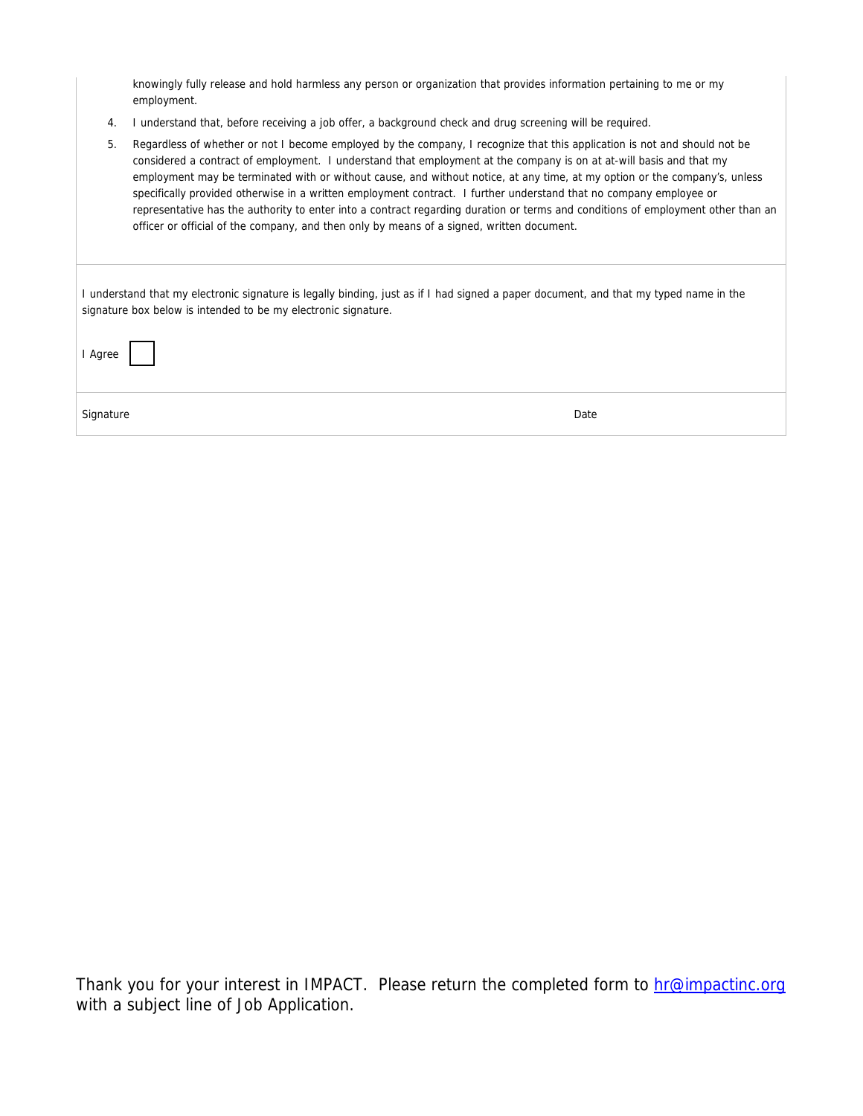knowingly fully release and hold harmless any person or organization that provides information pertaining to me or my employment.

4. I understand that, before receiving a job offer, a background check and drug screening will be required.

| 5. | Regardless of whether or not I become employed by the company, I recognize that this application is not and should not be        |
|----|----------------------------------------------------------------------------------------------------------------------------------|
|    | considered a contract of employment. I understand that employment at the company is on at at-will basis and that my              |
|    | employment may be terminated with or without cause, and without notice, at any time, at my option or the company's, unless       |
|    | specifically provided otherwise in a written employment contract. I further understand that no company employee or               |
|    | representative has the authority to enter into a contract regarding duration or terms and conditions of employment other than an |
|    | officer or official of the company, and then only by means of a signed, written document.                                        |
|    |                                                                                                                                  |

| I understand that my electronic signature is legally binding, just as if I had signed a paper document, and that my typed name in the |
|---------------------------------------------------------------------------------------------------------------------------------------|
| signature box below is intended to be my electronic signature.                                                                        |

| I Agree   |      |
|-----------|------|
| Signature | Date |

Thank you for your interest in IMPACT. Please return the completed form to **hr@impactinc.org** with a subject line of Job Application.